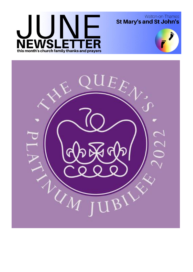# WSL R  $\Box$ E this month's church family thanks and prayers

Walton-on-Thames<br>St Mary's and St John's



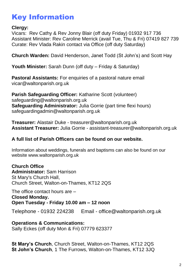# Key Information

### **Clergy:**

Vicars:Rev Cathy & Rev Jonny Blair (off duty Friday) 01932 917 736 Assistant Minister: Rev Caroline Merrick (avail Tue, Thu & Fri) 07419 827 739 Curate: Rev Vlada Rakin contact via Office (off duty Saturday)

**Church Warden:** David Henderson, Janet Todd (St John's) and Scott Hay

**Youth Minister:** Sarah Dunn (off duty – Friday & Saturday)

**Pastoral Assistants:** For enquiries of a pastoral nature email vicar@waltonparish.org.uk

**Parish Safeguarding Officer:** Katharine Scott (volunteer) safeguarding@waltonparish.org.uk **Safeguarding Administrator:** Julia Gorrie (part time flexi hours) safeguardingadmin@waltonparish.org.uk

**Treasurer:** Alastair Duke - treasurer@waltonparish.org.uk **Assistant Treasurer:** Julia Gorrie - assistant-treasurer@waltonparish.org.uk

### **A full list of Parish Officers can be found on our website.**

Information about weddings, funerals and baptisms can also be found on our website www.waltonparish.org.uk

**Church Office Administrator:** Sam Harrison St Mary's Church Hall, Church Street, Walton-on-Thames, KT12 2QS

The office contact hours are – **Closed Monday. Open Tuesday - Friday 10.00 am – 12 noon**

Telephone - 01932 224238 Email - [office@waltonparish.org.uk](mailto:office@waltonparish.org.uk)

**Operations & Communications:**  Sally Eckes (off duty Mon & Fri) 07779 623377

**St Mary's Church**, Church Street, Walton-on-Thames, KT12 2QS **St John's Church**, 1 The Furrows, Walton-on-Thames, KT12 3JQ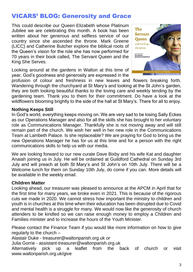# VICARS' BLOG: Generosity and Grace

This could describe our Queen Elizabeth whose Platinum Jubilee we are celebrating this month. A book has been written about her generous and selfless service of our country since she ascended the throne. Mark Greene (LICC) and Catherine Butcher explore the biblical roots of the Queen's vision for the role she has now performed for 70 years in their book called, The Servant Queen and the King She Serves.

Looking around at the gardens in Walton at this time of year, God's goodness and generosity are expressed in the



profusion of colour and freshness in new leaves and flowers breaking forth. Wandering through the churchyard at St Mary's and looking at the St John's garden, they are both looking beautiful thanks to the loving care and weekly tending by the gardening team. Thank you to them for their commitment. Do have a look at the wildflowers blooming brightly to the side of the hall at St Mary's. There for all to enjoy.

#### **Nothing Keeps Still**

In God's world, everything keeps moving on. We are very sad to be losing Sally Eckes as our Operations Manager and also for all the skills she has brought to her voluntary role as Communications Manager. Thankfully she is not moving away and will still remain part of the church. We wish her well in her new role in the Communications Team at Lambeth Palace. Is she replaceable? We are praying for God to bring us the new Operations Manager he has for us at this time and for a person with the right communications skills to help us with our media.

We are looking forward to our new curate Dave Bixby and his wife Kat and daughter Anaiah joining us in July. He will be ordained at Guildford Cathedral on Sunday 3rd July and will preach at both St Mary's and St John's on 10th July. There will be a Welcome lunch for them on Sunday 10th July, do come if you can. More details will be available in the weekly email.

#### **Children Matter**

Looking ahead, our treasurer was pleased to announce at the APCM in April that for the first time for many years, we broke even in 2021. This is because of the rigorous cuts we made in 2020. We cannot stress how important the ministry to children and youth is in churches at this time when their education has been disrupted due to Covid and mental health is a struggle for many. We would now like the generosity of church attenders to be kindled so we can raise enough money to employ a Children and Families minister and to increase the hours of the Youth Minister.

Please contact the Finance Team if you would like more information on how to give regularly to the church –

Alastair Duke - treasurer@waltonparish.org.uk *or* 

Julia Gorrie - assistant-treasurer@waltonparish.org.uk

Alternatively pick up a leaflet from the back of church or visit www.waltonparish.org.uk/give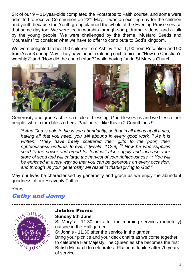Six of our 9 – 11-year-olds completed the Footsteps to Faith course, and some were admitted to receive Communion on 22<sup>nd</sup> May. It was an exciting day for the children and youth because the Youth group planned the whole of the Evening Praise service that same day too. We were led in worship through song, drama, videos, and a talk by the young people. We were challenged by the theme "Mustard Seeds and Mountains" to consider what we have to offer to contribute to God's kingdom.

We were delighted to host 90 children from Ashley Year 1, 90 from Reception and 90 from Year 3 during May. They have been exploring such topics as "How do Christian's worship?" and "How did the church start?" while having fun in St Mary's Church.







Generosity and grace act like a circle of blessing: God blesses us and we bless other people, who in turn bless others. Paul puts it like this in 2 Corinthians 9:

*" <sup>8</sup> And God is able to bless you abundantly, so that in all things at all times, having all that you need, you will abound in every good work. <sup>9</sup> As it is*  written: "They have freely scattered their gifts to the poor; their *righteousness endures forever." [Psalm 112:9] <sup>10</sup> Now he who supplies seed to the sower and bread for food will also supply and increase your store of seed and will enlarge the harvest of your righteousness. <sup>11</sup> You will be enriched in every way so that you can be generous on every occasion, and through us your generosity will result in thanksgiving to God."*

May our lives be characterised by generosity and grace as we enjoy the abundant goodness of our Heavenly Father.

……………………………………………………………………………………..

Yours,

# Cathy and Jonny



# Jubilee Picnic

#### **Sunday 5th June**

St Mary's - 11.30 am after the morning services (hopefully) outside in the Hall garden St John's - 11.30 after the service in the garden Bring your picnics and your deck chairs as we come together to celebrate Her Majesty The Queen as she becomes the first British Monarch to celebrate a Platinum Jubilee after 70 years of service.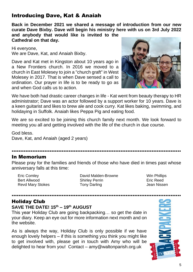## Introducing Dave, Kat & Anaiah

**Back in December 2021 we shared a message of introduction from our new curate Dave Bixby. Dave will begin his ministry here with us on 3rd July 2022**

**and anybody that would like is invited to the Cathedral on that day.**

Hi everyone, We are Dave, Kat, and Anaiah Bixby.

Dave and Kat met in Kingston about 10 years ago in a New Frontiers church. In 2016 we moved to a church in East Molesey to join a "church graft" in West Molesey in 2017. That is when Dave sensed a call to ordination. Our prayer in life is to be ready to go as and when God calls us to action.



We have both had drastic career changes in life - Kat went from beauty therapy to HR administrator; Dave was an actor followed by a support worker for 10 years. Dave is a keen guitarist and likes to brew ale and cook curry. Kat likes baking, swimming, and holidaying in Suffolk. Anaiah likes Peppa Pig and eating food.

We are so excited to be joining this church family next month. We look forward to meeting you all and getting involved with the life of the church in due course.

God bless. Dave, Kat, and Anaiah (aged 2 years)

……………………………………………………………………………………..

#### In Memorium

Please pray for the families and friends of those who have died in times past whose anniversary falls at this time:

Eric Comley Bert Allwood Revd Mary Stokes

David Malden-Browne Shirley Perrin Tony Darling

Win Phillips Eric Reed Jean Nissen

### Holiday Club

#### **SAVE THE DATE! 15th – 19th AUGUST**

This year Holiday Club are going backpacking… so get the date in your diary. Keep an eye out for more information next month and on the website.

As is always the way, Holiday Club is only possible if we have enough lovely helpers – if this is something you think you might like to get involved with, please get in touch with Amy who will be delighted to hear from you! Contact – amy@waltonparish.org.uk

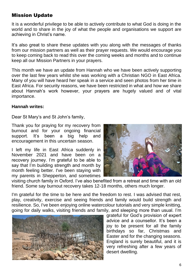## Mission Update

It is a wonderful privilege to be able to actively contribute to what God is doing in the world and to share in the joy of what the people and organisations we support are achieving in Christ's name.

It's also great to share these updates with you along with the messages of thanks from our mission partners as well as their prayer requests. We would encourage you to keep coming back to read this over the coming weeks and months and to continue keep all our Mission Partners in your prayers.

This month we have an update from Hannah who we have been actively supporting over the last few years whilst she was working with a Christian NGO in East Africa. Many of you will have heard her speak in a service and seen photos from her time in East Africa. For security reasons, we have been restricted in what and how we share about Hannah's work however, your prayers are hugely valued and of vital importance.

#### **Hannah writes:**

Dear St Mary's and St John's family,

Thank you for praying for my recovery from burnout and for your ongoing financial support. It's been a big help and encouragement in this uncertain season.

I left my life in East Africa suddenly in November 2021 and have been on a recovery journey. I'm grateful to be able to say that I'm building strength and month by month feeling better. I've been staying with my parents in Shepperton, and sometimes



visiting church family in Oxford. I've also benefited from a retreat and time with an old friend. Some say burnout recovery takes 12-18 months, others much longer.

I'm grateful for the time to be here and the freedom to rest. I was advised that rest, play, creativity, exercise and seeing friends and family would build strength and resilience. So, I've been enjoying online watercolour tutorials and very simple knitting, going for daily walks, visiting friends and family, and sleeping more than usual. I'm



grateful for God's provision of expert advice and a counsellor. It's been a joy to be present for all the family birthdays so far, Christmas and Easter and for the changing seasons. England is surely beautiful, and it is very refreshing after a few years of desert dwelling.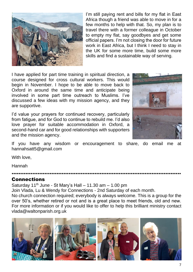

I'm still paying rent and bills for my flat in East Africa though a friend was able to move in for a few months to help with that. So, my plan is to travel there with a former colleague in October to empty my flat, say goodbyes and get some official papers. I'm not closing the door for future work in East Africa, but I think I need to stay in the UK for some more time, build some more skills and find a sustainable way of serving.

I have applied for part time training in spiritual direction, a course designed for cross cultural workers. This would begin in November. I hope to be able to move back to Oxford in around the same time and anticipate being involved in some part time outreach to Muslims. I've discussed a few ideas with my mission agency, and they are supportive.

I'd value your prayers for continued recovery, particularly from fatigue, and for God to continue to rebuild me. I'd also love prayer for suitable accommodation in Oxford, a second-hand car and for good relationships with supporters and the mission agency.



If you have any wisdom or encouragement to share, do email me at hannahsatt5@gmail.com

……………………………………………………………………………………..

With love,

Hannah

#### Connections

Saturday  $11^{th}$  June - St Mary's Hall – 11.30 am – 1.00 pm

Join Vlada, Lu & Wendy for Connections - 2nd Saturday of each month.

No church connection required; everybody is always welcome. This is a group for the over 50's, whether retired or not and is a great place to meet friends, old and new. For more information or if you would like to offer to help this brilliant ministry contact vlada@waltonparish.org.uk